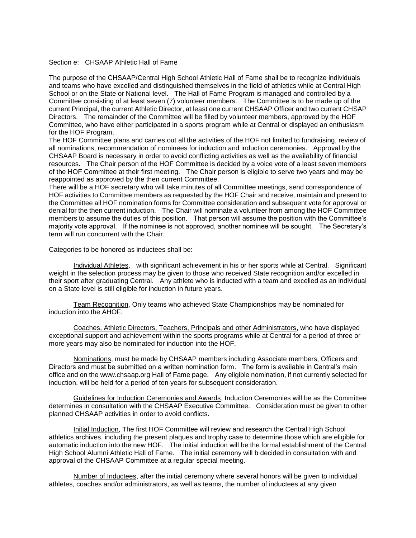## Section e: CHSAAP Athletic Hall of Fame

The purpose of the CHSAAP/Central High School Athletic Hall of Fame shall be to recognize individuals and teams who have excelled and distinguished themselves in the field of athletics while at Central High School or on the State or National level. The Hall of Fame Program is managed and controlled by a Committee consisting of at least seven (7) volunteer members. The Committee is to be made up of the current Principal, the current Athletic Director, at least one current CHSAAP Officer and two current CHSAP Directors. The remainder of the Committee will be filled by volunteer members, approved by the HOF Committee, who have either participated in a sports program while at Central or displayed an enthusiasm for the HOF Program.

The HOF Committee plans and carries out all the activities of the HOF not limited to fundraising, review of all nominations, recommendation of nominees for induction and induction ceremonies. Approval by the CHSAAP Board is necessary in order to avoid conflicting activities as well as the availability of financial resources. The Chair person of the HOF Committee is decided by a voice vote of a least seven members of the HOF Committee at their first meeting. The Chair person is eligible to serve two years and may be reappointed as approved by the then current Committee.

There will be a HOF secretary who will take minutes of all Committee meetings, send correspondence of HOF activities to Committee members as requested by the HOF Chair and receive, maintain and present to the Committee all HOF nomination forms for Committee consideration and subsequent vote for approval or denial for the then current induction. The Chair will nominate a volunteer from among the HOF Committee members to assume the duties of this position. That person will assume the position with the Committee's majority vote approval. If the nominee is not approved, another nominee will be sought. The Secretary's term will run concurrent with the Chair.

Categories to be honored as inductees shall be:

Individual Athletes, with significant achievement in his or her sports while at Central. Significant weight in the selection process may be given to those who received State recognition and/or excelled in their sport after graduating Central. Any athlete who is inducted with a team and excelled as an individual on a State level is still eligible for induction in future years.

Team Recognition, Only teams who achieved State Championships may be nominated for induction into the AHOF.

Coaches, Athletic Directors, Teachers, Principals and other Administrators, who have displayed exceptional support and achievement within the sports programs while at Central for a period of three or more years may also be nominated for induction into the HOF.

Nominations, must be made by CHSAAP members including Associate members, Officers and Directors and must be submitted on a written nomination form. The form is available in Central's main office and on the www.chsaap.org Hall of Fame page. Any eligible nomination, if not currently selected for induction, will be held for a period of ten years for subsequent consideration.

Guidelines for Induction Ceremonies and Awards, Induction Ceremonies will be as the Committee determines in consultation with the CHSAAP Executive Committee. Consideration must be given to other planned CHSAAP activities in order to avoid conflicts.

Initial Induction, The first HOF Committee will review and research the Central High School athletics archives, including the present plaques and trophy case to determine those which are eligible for automatic induction into the new HOF. The initial induction will be the formal establishment of the Central High School Alumni Athletic Hall of Fame. The initial ceremony will b decided in consultation with and approval of the CHSAAP Committee at a regular special meeting.

Number of Inductees, after the initial ceremony where several honors will be given to individual athletes, coaches and/or administrators, as well as teams, the number of inductees at any given